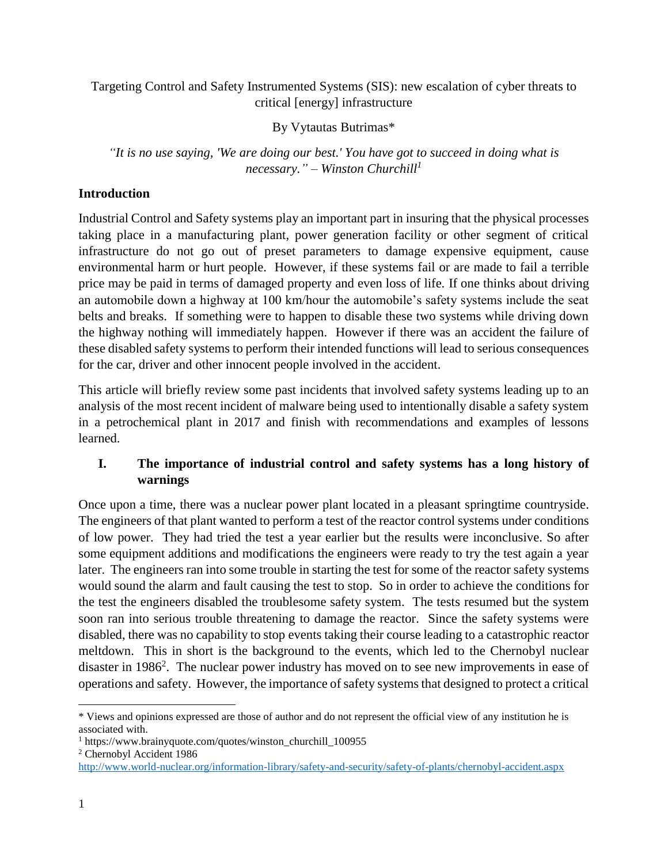Targeting Control and Safety Instrumented Systems (SIS): new escalation of cyber threats to critical [energy] infrastructure

By Vytautas Butrimas\*

*"It is no use saying, 'We are doing our best.' You have got to succeed in doing what is necessary." – Winston Churchill<sup>1</sup>*

# **Introduction**

Industrial Control and Safety systems play an important part in insuring that the physical processes taking place in a manufacturing plant, power generation facility or other segment of critical infrastructure do not go out of preset parameters to damage expensive equipment, cause environmental harm or hurt people. However, if these systems fail or are made to fail a terrible price may be paid in terms of damaged property and even loss of life. If one thinks about driving an automobile down a highway at 100 km/hour the automobile's safety systems include the seat belts and breaks. If something were to happen to disable these two systems while driving down the highway nothing will immediately happen. However if there was an accident the failure of these disabled safety systems to perform their intended functions will lead to serious consequences for the car, driver and other innocent people involved in the accident.

This article will briefly review some past incidents that involved safety systems leading up to an analysis of the most recent incident of malware being used to intentionally disable a safety system in a petrochemical plant in 2017 and finish with recommendations and examples of lessons learned.

# **I. The importance of industrial control and safety systems has a long history of warnings**

Once upon a time, there was a nuclear power plant located in a pleasant springtime countryside. The engineers of that plant wanted to perform a test of the reactor control systems under conditions of low power. They had tried the test a year earlier but the results were inconclusive. So after some equipment additions and modifications the engineers were ready to try the test again a year later. The engineers ran into some trouble in starting the test for some of the reactor safety systems would sound the alarm and fault causing the test to stop. So in order to achieve the conditions for the test the engineers disabled the troublesome safety system. The tests resumed but the system soon ran into serious trouble threatening to damage the reactor. Since the safety systems were disabled, there was no capability to stop events taking their course leading to a catastrophic reactor meltdown. This in short is the background to the events, which led to the Chernobyl nuclear disaster in 1986<sup>2</sup>. The nuclear power industry has moved on to see new improvements in ease of operations and safety. However, the importance of safety systems that designed to protect a critical

<sup>2</sup> Chernobyl Accident 1986

l \* Views and opinions expressed are those of author and do not represent the official view of any institution he is associated with.

<sup>1</sup> https://www.brainyquote.com/quotes/winston\_churchill\_100955

<http://www.world-nuclear.org/information-library/safety-and-security/safety-of-plants/chernobyl-accident.aspx>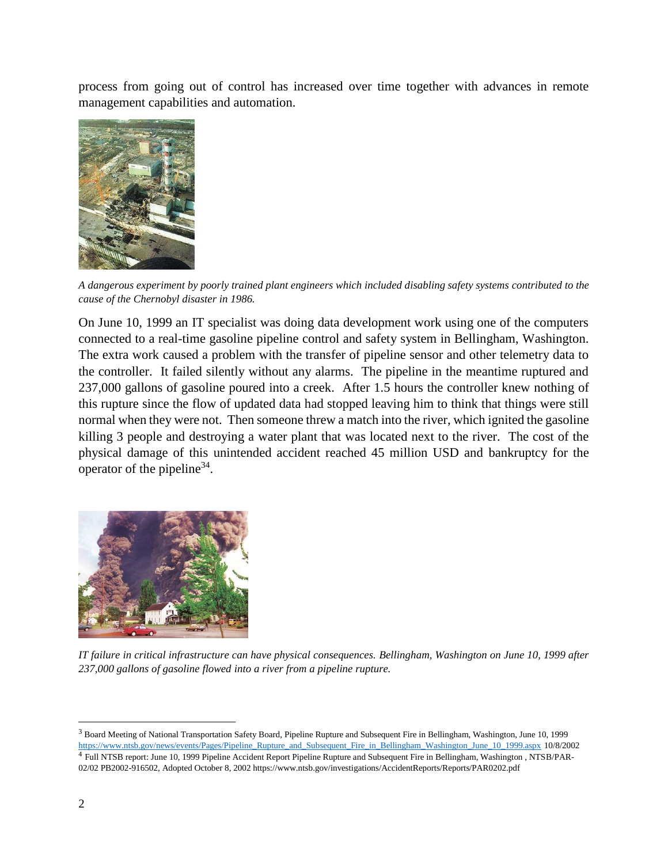process from going out of control has increased over time together with advances in remote management capabilities and automation.



*A dangerous experiment by poorly trained plant engineers which included disabling safety systems contributed to the cause of the Chernobyl disaster in 1986.*

On June 10, 1999 an IT specialist was doing data development work using one of the computers connected to a real-time gasoline pipeline control and safety system in Bellingham, Washington. The extra work caused a problem with the transfer of pipeline sensor and other telemetry data to the controller. It failed silently without any alarms. The pipeline in the meantime ruptured and 237,000 gallons of gasoline poured into a creek. After 1.5 hours the controller knew nothing of this rupture since the flow of updated data had stopped leaving him to think that things were still normal when they were not. Then someone threw a match into the river, which ignited the gasoline killing 3 people and destroying a water plant that was located next to the river. The cost of the physical damage of this unintended accident reached 45 million USD and bankruptcy for the operator of the pipeline<sup>34</sup>.



*IT failure in critical infrastructure can have physical consequences. Bellingham, Washington on June 10, 1999 after 237,000 gallons of gasoline flowed into a river from a pipeline rupture.* 

<sup>3</sup> Board Meeting of National Transportation Safety Board, Pipeline Rupture and Subsequent Fire in Bellingham, Washington, June 10, 1999 [https://www.ntsb.gov/news/events/Pages/Pipeline\\_Rupture\\_and\\_Subsequent\\_Fire\\_in\\_Bellingham\\_Washington\\_June\\_10\\_1999.aspx](https://www.ntsb.gov/news/events/Pages/Pipeline_Rupture_and_Subsequent_Fire_in_Bellingham_Washington_June_10_1999.aspx) 10/8/2002 4 Full NTSB report: June 10, 1999 Pipeline Accident Report Pipeline Rupture and Subsequent Fire in Bellingham, Washington , NTSB/PAR-02/02 PB2002-916502, Adopted October 8, 2002 https://www.ntsb.gov/investigations/AccidentReports/Reports/PAR0202.pdf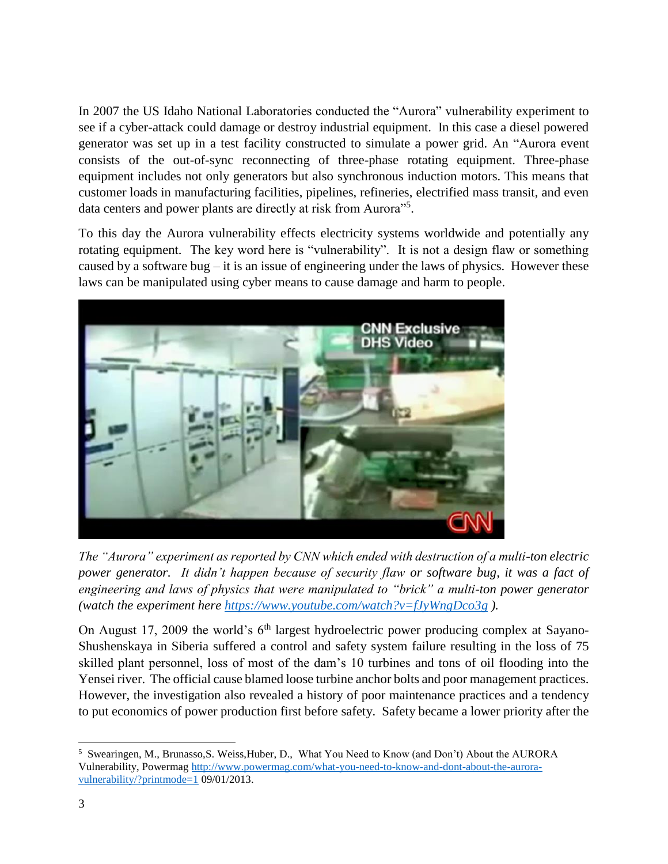In 2007 the US Idaho National Laboratories conducted the "Aurora" vulnerability experiment to see if a cyber-attack could damage or destroy industrial equipment. In this case a diesel powered generator was set up in a test facility constructed to simulate a power grid. An "Aurora event consists of the out-of-sync reconnecting of three-phase rotating equipment. Three-phase equipment includes not only generators but also synchronous induction motors. This means that customer loads in manufacturing facilities, pipelines, refineries, electrified mass transit, and even data centers and power plants are directly at risk from Aurora"<sup>5</sup>.

To this day the Aurora vulnerability effects electricity systems worldwide and potentially any rotating equipment. The key word here is "vulnerability". It is not a design flaw or something caused by a software bug – it is an issue of engineering under the laws of physics. However these laws can be manipulated using cyber means to cause damage and harm to people.



*The "Aurora" experiment as reported by CNN which ended with destruction of a multi-ton electric power generator. It didn't happen because of security flaw or software bug, it was a fact of engineering and laws of physics that were manipulated to "brick" a multi-ton power generator (watch the experiment here<https://www.youtube.com/watch?v=fJyWngDco3g> ).*

On August 17, 2009 the world's  $6<sup>th</sup>$  largest hydroelectric power producing complex at Sayano-Shushenskaya in Siberia suffered a control and safety system failure resulting in the loss of 75 skilled plant personnel, loss of most of the dam's 10 turbines and tons of oil flooding into the Yensei river. The official cause blamed loose turbine anchor bolts and poor management practices. However, the investigation also revealed a history of poor maintenance practices and a tendency to put economics of power production first before safety. Safety became a lower priority after the

<sup>5</sup> Swearingen, M., Brunasso,S. Weiss,Huber, D., What You Need to Know (and Don't) About the AURORA Vulnerability, Powermag [http://www.powermag.com/what-you-need-to-know-and-dont-about-the-aurora](http://www.powermag.com/what-you-need-to-know-and-dont-about-the-aurora-vulnerability/?printmode=1)[vulnerability/?printmode=1](http://www.powermag.com/what-you-need-to-know-and-dont-about-the-aurora-vulnerability/?printmode=1) 09/01/2013.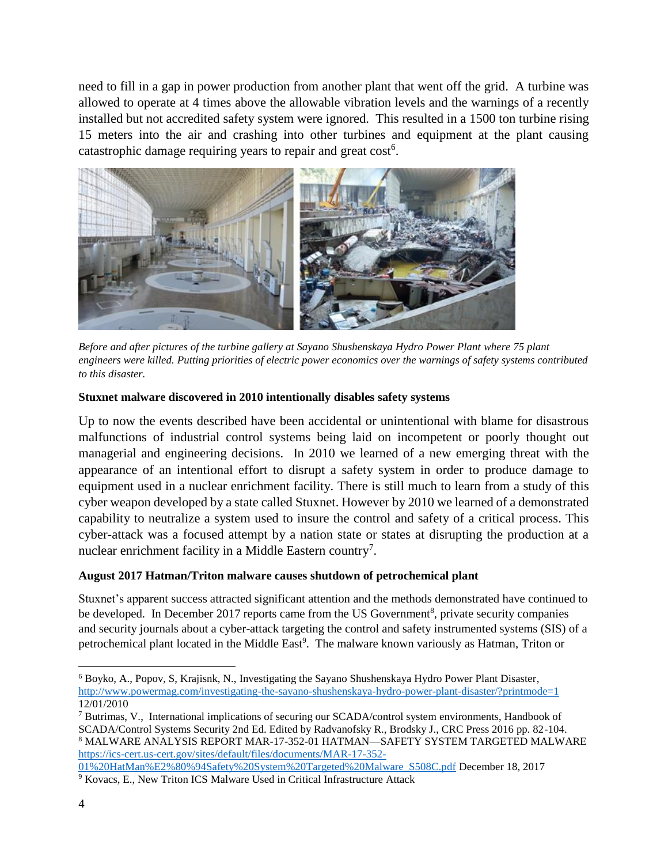need to fill in a gap in power production from another plant that went off the grid. A turbine was allowed to operate at 4 times above the allowable vibration levels and the warnings of a recently installed but not accredited safety system were ignored. This resulted in a 1500 ton turbine rising 15 meters into the air and crashing into other turbines and equipment at the plant causing catastrophic damage requiring years to repair and great  $cost<sup>6</sup>$ .



*Before and after pictures of the turbine gallery at Sayano Shushenskaya Hydro Power Plant where 75 plant engineers were killed. Putting priorities of electric power economics over the warnings of safety systems contributed to this disaster.*

## **Stuxnet malware discovered in 2010 intentionally disables safety systems**

Up to now the events described have been accidental or unintentional with blame for disastrous malfunctions of industrial control systems being laid on incompetent or poorly thought out managerial and engineering decisions. In 2010 we learned of a new emerging threat with the appearance of an intentional effort to disrupt a safety system in order to produce damage to equipment used in a nuclear enrichment facility. There is still much to learn from a study of this cyber weapon developed by a state called Stuxnet. However by 2010 we learned of a demonstrated capability to neutralize a system used to insure the control and safety of a critical process. This cyber-attack was a focused attempt by a nation state or states at disrupting the production at a nuclear enrichment facility in a Middle Eastern country<sup>7</sup>.

# **August 2017 Hatman/Triton malware causes shutdown of petrochemical plant**

Stuxnet's apparent success attracted significant attention and the methods demonstrated have continued to be developed. In December 2017 reports came from the US Government<sup>8</sup>, private security companies and security journals about a cyber-attack targeting the control and safety instrumented systems (SIS) of a petrochemical plant located in the Middle East<sup>9</sup>. The malware known variously as Hatman, Triton or

[01%20HatMan%E2%80%94Safety%20System%20Targeted%20Malware\\_S508C.pdf](https://ics-cert.us-cert.gov/sites/default/files/documents/MAR-17-352-01%20HatMan%E2%80%94Safety%20System%20Targeted%20Malware_S508C.pdf) December 18, 2017 <sup>9</sup> Kovacs, E., New Triton ICS Malware Used in Critical Infrastructure Attack

l <sup>6</sup> Boyko, A., Popov, S, Krajisnk, N., Investigating the Sayano Shushenskaya Hydro Power Plant Disaster, <http://www.powermag.com/investigating-the-sayano-shushenskaya-hydro-power-plant-disaster/?printmode=1> 12/01/2010

<sup>7</sup> Butrimas, V., International implications of securing our SCADA/control system environments, Handbook of SCADA/Control Systems Security 2nd Ed. Edited by Radvanofsky R., Brodsky J., CRC Press 2016 pp. 82-104. <sup>8</sup> MALWARE ANALYSIS REPORT MAR-17-352-01 HATMAN—SAFETY SYSTEM TARGETED MALWARE [https://ics-cert.us-cert.gov/sites/default/files/documents/MAR-17-352-](https://ics-cert.us-cert.gov/sites/default/files/documents/MAR-17-352-01%20HatMan%E2%80%94Safety%20System%20Targeted%20Malware_S508C.pdf)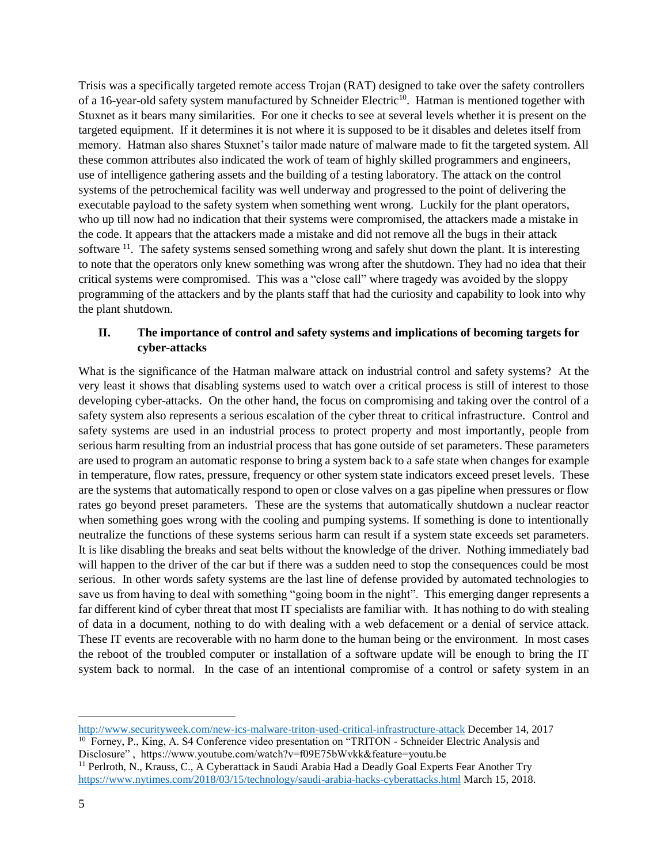Trisis was a specifically targeted remote access Trojan (RAT) designed to take over the safety controllers of a 16-year-old safety system manufactured by Schneider Electric<sup>10</sup>. Hatman is mentioned together with Stuxnet as it bears many similarities. For one it checks to see at several levels whether it is present on the targeted equipment. If it determines it is not where it is supposed to be it disables and deletes itself from memory. Hatman also shares Stuxnet's tailor made nature of malware made to fit the targeted system. All these common attributes also indicated the work of team of highly skilled programmers and engineers, use of intelligence gathering assets and the building of a testing laboratory. The attack on the control systems of the petrochemical facility was well underway and progressed to the point of delivering the executable payload to the safety system when something went wrong. Luckily for the plant operators, who up till now had no indication that their systems were compromised, the attackers made a mistake in the code. It appears that the attackers made a mistake and did not remove all the bugs in their attack software <sup>11</sup>. The safety systems sensed something wrong and safely shut down the plant. It is interesting to note that the operators only knew something was wrong after the shutdown. They had no idea that their critical systems were compromised. This was a "close call" where tragedy was avoided by the sloppy programming of the attackers and by the plants staff that had the curiosity and capability to look into why the plant shutdown.

## **II. The importance of control and safety systems and implications of becoming targets for cyber-attacks**

What is the significance of the Hatman malware attack on industrial control and safety systems? At the very least it shows that disabling systems used to watch over a critical process is still of interest to those developing cyber-attacks. On the other hand, the focus on compromising and taking over the control of a safety system also represents a serious escalation of the cyber threat to critical infrastructure. Control and safety systems are used in an industrial process to protect property and most importantly, people from serious harm resulting from an industrial process that has gone outside of set parameters. These parameters are used to program an automatic response to bring a system back to a safe state when changes for example in temperature, flow rates, pressure, frequency or other system state indicators exceed preset levels. These are the systems that automatically respond to open or close valves on a gas pipeline when pressures or flow rates go beyond preset parameters. These are the systems that automatically shutdown a nuclear reactor when something goes wrong with the cooling and pumping systems. If something is done to intentionally neutralize the functions of these systems serious harm can result if a system state exceeds set parameters. It is like disabling the breaks and seat belts without the knowledge of the driver. Nothing immediately bad will happen to the driver of the car but if there was a sudden need to stop the consequences could be most serious. In other words safety systems are the last line of defense provided by automated technologies to save us from having to deal with something "going boom in the night". This emerging danger represents a far different kind of cyber threat that most IT specialists are familiar with. It has nothing to do with stealing of data in a document, nothing to do with dealing with a web defacement or a denial of service attack. These IT events are recoverable with no harm done to the human being or the environment. In most cases the reboot of the troubled computer or installation of a software update will be enough to bring the IT system back to normal. In the case of an intentional compromise of a control or safety system in an

<http://www.securityweek.com/new-ics-malware-triton-used-critical-infrastructure-attack> December 14, 2017

<sup>10</sup> Forney, P., King, A. S4 Conference video presentation on "TRITON - Schneider Electric Analysis and Disclosure" , https://www.youtube.com/watch?v=f09E75bWvkk&feature=youtu.be

<sup>11</sup> Perlroth, N., Krauss, C., A Cyberattack in Saudi Arabia Had a Deadly Goal Experts Fear Another Try <https://www.nytimes.com/2018/03/15/technology/saudi-arabia-hacks-cyberattacks.html> March 15, 2018.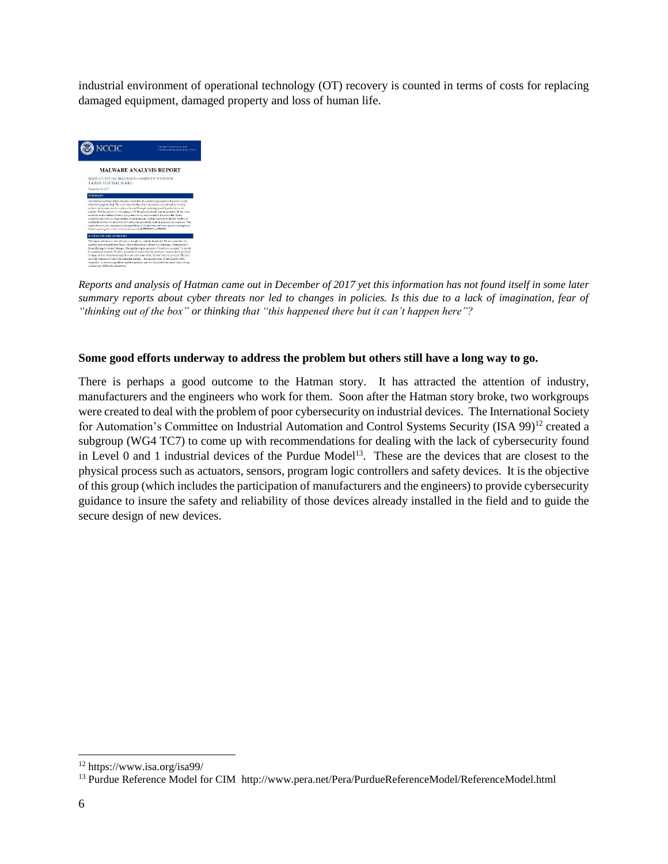industrial environment of operational technology (OT) recovery is counted in terms of costs for replacing damaged equipment, damaged property and loss of human life.



*Reports and analysis of Hatman came out in December of 2017 yet this information has not found itself in some later summary reports about cyber threats nor led to changes in policies. Is this due to a lack of imagination, fear of "thinking out of the box" or thinking that "this happened there but it can't happen here"?*

#### **Some good efforts underway to address the problem but others still have a long way to go.**

There is perhaps a good outcome to the Hatman story. It has attracted the attention of industry, manufacturers and the engineers who work for them. Soon after the Hatman story broke, two workgroups were created to deal with the problem of poor cybersecurity on industrial devices. The International Society for Automation's Committee on Industrial Automation and Control Systems Security (ISA 99)<sup>12</sup> created a subgroup (WG4 TC7) to come up with recommendations for dealing with the lack of cybersecurity found in Level 0 and 1 industrial devices of the Purdue Model<sup>13</sup>. These are the devices that are closest to the physical process such as actuators, sensors, program logic controllers and safety devices. It is the objective of this group (which includes the participation of manufacturers and the engineers) to provide cybersecurity guidance to insure the safety and reliability of those devices already installed in the field and to guide the secure design of new devices.

<sup>12</sup> https://www.isa.org/isa99/

<sup>&</sup>lt;sup>13</sup> Purdue Reference Model for CIM http://www.pera.net/Pera/PurdueReferenceModel/ReferenceModel.html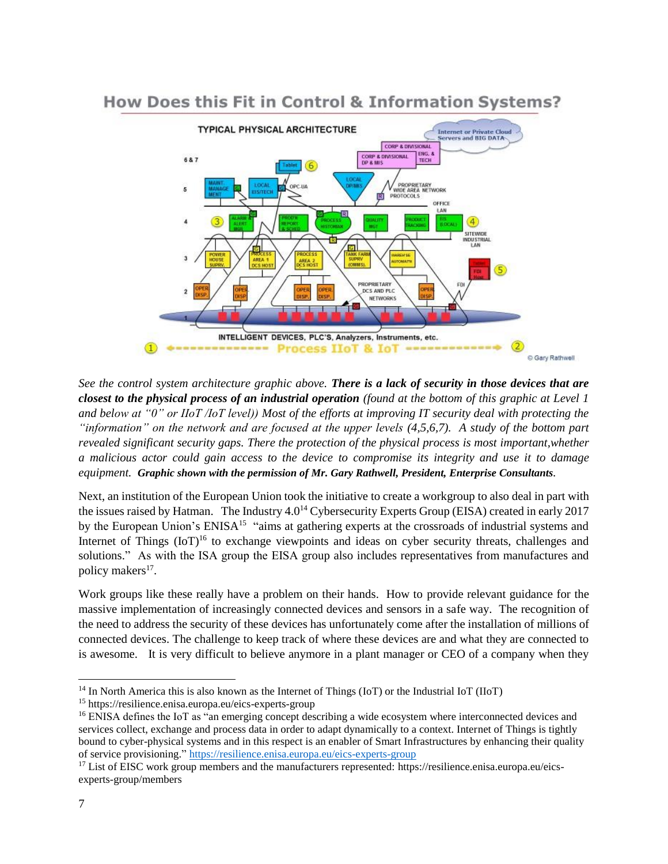

# How Does this Fit in Control & Information Systems?

*See the control system architecture graphic above. There is a lack of security in those devices that are closest to the physical process of an industrial operation (found at the bottom of this graphic at Level 1 and below at "0" or IIoT /IoT level)) Most of the efforts at improving IT security deal with protecting the "information" on the network and are focused at the upper levels (4,5,6,7). A study of the bottom part revealed significant security gaps. There the protection of the physical process is most important,whether a malicious actor could gain access to the device to compromise its integrity and use it to damage equipment. Graphic shown with the permission of Mr. Gary Rathwell, President, Enterprise Consultants.*

Next, an institution of the European Union took the initiative to create a workgroup to also deal in part with the issues raised by Hatman. The Industry 4.0<sup>14</sup> Cybersecurity Experts Group (EISA) created in early 2017 by the European Union's ENISA<sup>15</sup> "aims at gathering experts at the crossroads of industrial systems and Internet of Things  $(IoT)^{16}$  to exchange viewpoints and ideas on cyber security threats, challenges and solutions." As with the ISA group the EISA group also includes representatives from manufactures and policy makers<sup>17</sup>.

Work groups like these really have a problem on their hands. How to provide relevant guidance for the massive implementation of increasingly connected devices and sensors in a safe way. The recognition of the need to address the security of these devices has unfortunately come after the installation of millions of connected devices. The challenge to keep track of where these devices are and what they are connected to is awesome. It is very difficult to believe anymore in a plant manager or CEO of a company when they

 $14$  In North America this is also known as the Internet of Things (IoT) or the Industrial IoT (IIoT)

<sup>15</sup> https://resilience.enisa.europa.eu/eics-experts-group

<sup>&</sup>lt;sup>16</sup> ENISA defines the IoT as "an emerging concept describing a wide ecosystem where interconnected devices and services collect, exchange and process data in order to adapt dynamically to a context. Internet of Things is tightly bound to cyber-physical systems and in this respect is an enabler of Smart Infrastructures by enhancing their quality of service provisioning." <https://resilience.enisa.europa.eu/eics-experts-group>

<sup>&</sup>lt;sup>17</sup> List of EISC work group members and the manufacturers represented: https://resilience.enisa.europa.eu/eicsexperts-group/members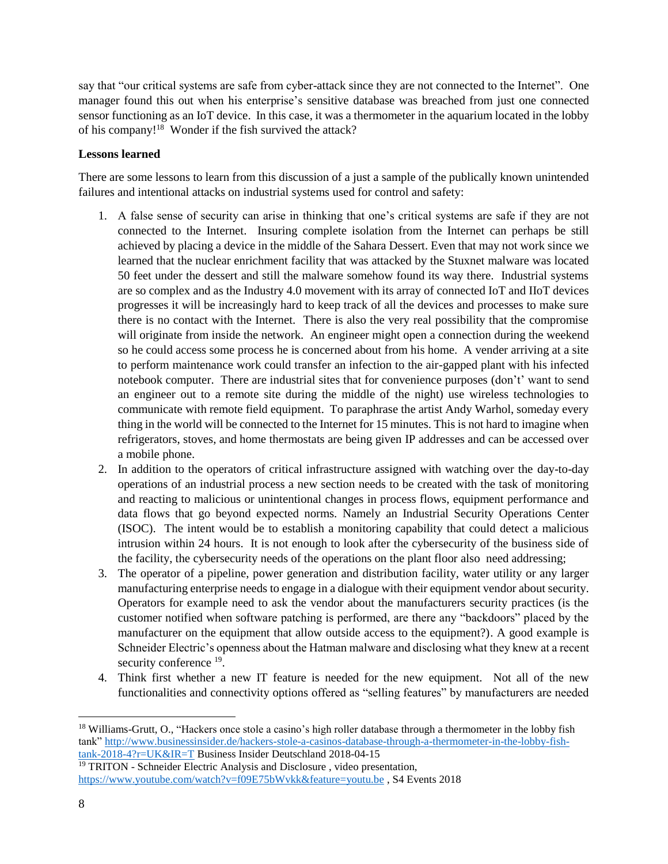say that "our critical systems are safe from cyber-attack since they are not connected to the Internet". One manager found this out when his enterprise's sensitive database was breached from just one connected sensor functioning as an IoT device. In this case, it was a thermometer in the aquarium located in the lobby of his company!<sup>18</sup> Wonder if the fish survived the attack?

### **Lessons learned**

There are some lessons to learn from this discussion of a just a sample of the publically known unintended failures and intentional attacks on industrial systems used for control and safety:

- 1. A false sense of security can arise in thinking that one's critical systems are safe if they are not connected to the Internet. Insuring complete isolation from the Internet can perhaps be still achieved by placing a device in the middle of the Sahara Dessert. Even that may not work since we learned that the nuclear enrichment facility that was attacked by the Stuxnet malware was located 50 feet under the dessert and still the malware somehow found its way there. Industrial systems are so complex and as the Industry 4.0 movement with its array of connected IoT and IIoT devices progresses it will be increasingly hard to keep track of all the devices and processes to make sure there is no contact with the Internet. There is also the very real possibility that the compromise will originate from inside the network. An engineer might open a connection during the weekend so he could access some process he is concerned about from his home. A vender arriving at a site to perform maintenance work could transfer an infection to the air-gapped plant with his infected notebook computer. There are industrial sites that for convenience purposes (don't' want to send an engineer out to a remote site during the middle of the night) use wireless technologies to communicate with remote field equipment. To paraphrase the artist Andy Warhol, someday every thing in the world will be connected to the Internet for 15 minutes. This is not hard to imagine when refrigerators, stoves, and home thermostats are being given IP addresses and can be accessed over a mobile phone.
- 2. In addition to the operators of critical infrastructure assigned with watching over the day-to-day operations of an industrial process a new section needs to be created with the task of monitoring and reacting to malicious or unintentional changes in process flows, equipment performance and data flows that go beyond expected norms. Namely an Industrial Security Operations Center (ISOC). The intent would be to establish a monitoring capability that could detect a malicious intrusion within 24 hours. It is not enough to look after the cybersecurity of the business side of the facility, the cybersecurity needs of the operations on the plant floor also need addressing;
- 3. The operator of a pipeline, power generation and distribution facility, water utility or any larger manufacturing enterprise needs to engage in a dialogue with their equipment vendor about security. Operators for example need to ask the vendor about the manufacturers security practices (is the customer notified when software patching is performed, are there any "backdoors" placed by the manufacturer on the equipment that allow outside access to the equipment?). A good example is Schneider Electric's openness about the Hatman malware and disclosing what they knew at a recent security conference <sup>19</sup>.
- 4. Think first whether a new IT feature is needed for the new equipment. Not all of the new functionalities and connectivity options offered as "selling features" by manufacturers are needed

<sup>&</sup>lt;sup>18</sup> Williams-Grutt, O., "Hackers once stole a casino's high roller database through a thermometer in the lobby fish tank" [http://www.businessinsider.de/hackers-stole-a-casinos-database-through-a-thermometer-in-the-lobby-fish](http://www.businessinsider.de/hackers-stole-a-casinos-database-through-a-thermometer-in-the-lobby-fish-tank-2018-4?r=UK&IR=T)[tank-2018-4?r=UK&IR=T](http://www.businessinsider.de/hackers-stole-a-casinos-database-through-a-thermometer-in-the-lobby-fish-tank-2018-4?r=UK&IR=T) Business Insider Deutschland 2018-04-15

 $\frac{19}{19}$  TRITON - Schneider Electric Analysis and Disclosure, video presentation, <https://www.youtube.com/watch?v=f09E75bWvkk&feature=youtu.be> , S4 Events 2018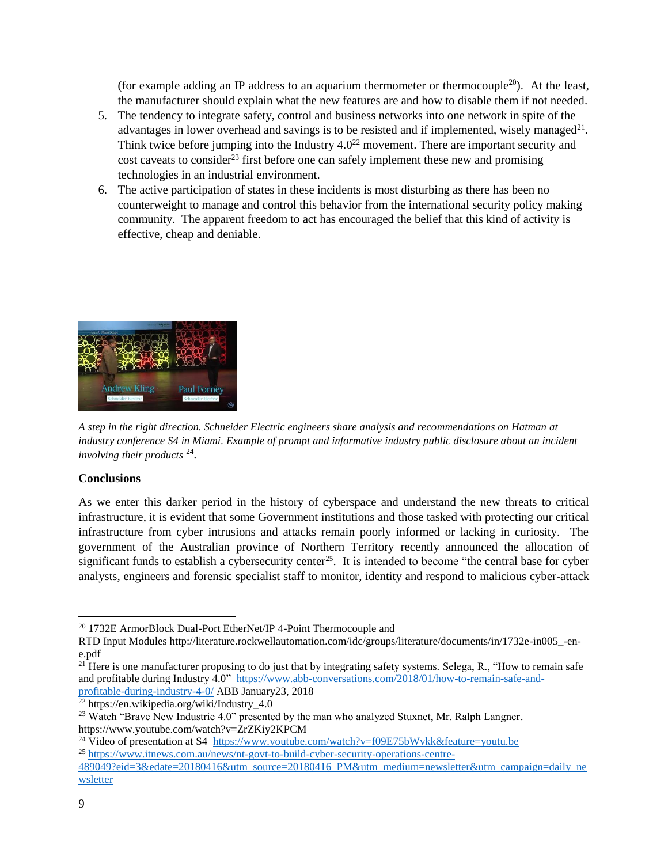(for example adding an IP address to an aquarium thermometer or thermocouple<sup>20</sup>). At the least, the manufacturer should explain what the new features are and how to disable them if not needed.

- 5. The tendency to integrate safety, control and business networks into one network in spite of the advantages in lower overhead and savings is to be resisted and if implemented, wisely managed $21$ . Think twice before jumping into the Industry  $4.0^{22}$  movement. There are important security and cost caveats to consider<sup>23</sup> first before one can safely implement these new and promising technologies in an industrial environment.
- 6. The active participation of states in these incidents is most disturbing as there has been no counterweight to manage and control this behavior from the international security policy making community. The apparent freedom to act has encouraged the belief that this kind of activity is effective, cheap and deniable.



*A step in the right direction. Schneider Electric engineers share analysis and recommendations on Hatman at industry conference S4 in Miami. Example of prompt and informative industry public disclosure about an incident involving their products* <sup>24</sup> .

#### **Conclusions**

As we enter this darker period in the history of cyberspace and understand the new threats to critical infrastructure, it is evident that some Government institutions and those tasked with protecting our critical infrastructure from cyber intrusions and attacks remain poorly informed or lacking in curiosity. The government of the Australian province of Northern Territory recently announced the allocation of significant funds to establish a cybersecurity center<sup>25</sup>. It is intended to become "the central base for cyber analysts, engineers and forensic specialist staff to monitor, identity and respond to malicious cyber-attack

<sup>24</sup> Video of presentation at S4 <https://www.youtube.com/watch?v=f09E75bWvkk&feature=youtu.be> <sup>25</sup> [https://www.itnews.com.au/news/nt-govt-to-build-cyber-security-operations-centre-](https://www.itnews.com.au/news/nt-govt-to-build-cyber-security-operations-centre-489049?eid=3&edate=20180416&utm_source=20180416_PM&utm_medium=newsletter&utm_campaign=daily_newsletter)

[489049?eid=3&edate=20180416&utm\\_source=20180416\\_PM&utm\\_medium=newsletter&utm\\_campaign=daily\\_ne](https://www.itnews.com.au/news/nt-govt-to-build-cyber-security-operations-centre-489049?eid=3&edate=20180416&utm_source=20180416_PM&utm_medium=newsletter&utm_campaign=daily_newsletter) [wsletter](https://www.itnews.com.au/news/nt-govt-to-build-cyber-security-operations-centre-489049?eid=3&edate=20180416&utm_source=20180416_PM&utm_medium=newsletter&utm_campaign=daily_newsletter)

l <sup>20</sup> 1732E ArmorBlock Dual-Port EtherNet/IP 4-Point Thermocouple and

RTD Input Modules http://literature.rockwellautomation.com/idc/groups/literature/documents/in/1732e-in005\_-ene.pdf

 $21$  Here is one manufacturer proposing to do just that by integrating safety systems. Selega, R., "How to remain safe and profitable during Industry 4.0" [https://www.abb-conversations.com/2018/01/how-to-remain-safe-and](https://www.abb-conversations.com/2018/01/how-to-remain-safe-and-profitable-during-industry-4-0/)[profitable-during-industry-4-0/](https://www.abb-conversations.com/2018/01/how-to-remain-safe-and-profitable-during-industry-4-0/) ABB January23, 2018

 $^{22}$  https://en.wikipedia.org/wiki/Industry\_4.0

<sup>&</sup>lt;sup>23</sup> Watch "Brave New Industrie 4.0" presented by the man who analyzed Stuxnet, Mr. Ralph Langner. https://www.youtube.com/watch?v=ZrZKiy2KPCM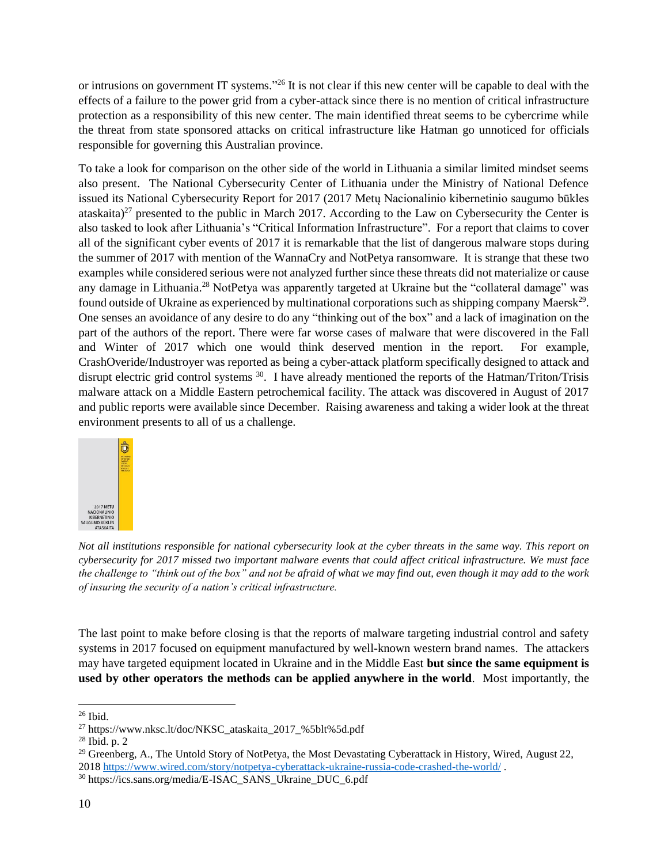or intrusions on government IT systems."<sup>26</sup> It is not clear if this new center will be capable to deal with the effects of a failure to the power grid from a cyber-attack since there is no mention of critical infrastructure protection as a responsibility of this new center. The main identified threat seems to be cybercrime while the threat from state sponsored attacks on critical infrastructure like Hatman go unnoticed for officials responsible for governing this Australian province.

To take a look for comparison on the other side of the world in Lithuania a similar limited mindset seems also present. The National Cybersecurity Center of Lithuania under the Ministry of National Defence issued its National Cybersecurity Report for 2017 (2017 Metų Nacionalinio kibernetinio saugumo būkles ataskaita)<sup>27</sup> presented to the public in March 2017. According to the Law on Cybersecurity the Center is also tasked to look after Lithuania's "Critical Information Infrastructure". For a report that claims to cover all of the significant cyber events of 2017 it is remarkable that the list of dangerous malware stops during the summer of 2017 with mention of the WannaCry and NotPetya ransomware. It is strange that these two examples while considered serious were not analyzed further since these threats did not materialize or cause any damage in Lithuania.<sup>28</sup> NotPetya was apparently targeted at Ukraine but the "collateral damage" was found outside of Ukraine as experienced by multinational corporations such as shipping company Maersk<sup>29</sup>. One senses an avoidance of any desire to do any "thinking out of the box" and a lack of imagination on the part of the authors of the report. There were far worse cases of malware that were discovered in the Fall and Winter of 2017 which one would think deserved mention in the report. For example, CrashOveride/Industroyer was reported as being a cyber-attack platform specifically designed to attack and disrupt electric grid control systems <sup>30</sup>. I have already mentioned the reports of the Hatman/Triton/Trisis malware attack on a Middle Eastern petrochemical facility. The attack was discovered in August of 2017 and public reports were available since December. Raising awareness and taking a wider look at the threat environment presents to all of us a challenge.



*Not all institutions responsible for national cybersecurity look at the cyber threats in the same way. This report on cybersecurity for 2017 missed two important malware events that could affect critical infrastructure. We must face the challenge to "think out of the box" and not be afraid of what we may find out, even though it may add to the work of insuring the security of a nation's critical infrastructure.*

The last point to make before closing is that the reports of malware targeting industrial control and safety systems in 2017 focused on equipment manufactured by well-known western brand names. The attackers may have targeted equipment located in Ukraine and in the Middle East **but since the same equipment is used by other operators the methods can be applied anywhere in the world**. Most importantly, the

l <sup>26</sup> Ibid.

<sup>27</sup> https://www.nksc.lt/doc/NKSC\_ataskaita\_2017\_%5blt%5d.pdf

 $28$  Ibid. p. 2

<sup>&</sup>lt;sup>29</sup> Greenberg, A., The Untold Story of NotPetya, the Most Devastating Cyberattack in History, Wired, August 22, 201[8 https://www.wired.com/story/notpetya-cyberattack-ukraine-russia-code-crashed-the-world/](https://www.wired.com/story/notpetya-cyberattack-ukraine-russia-code-crashed-the-world/) .

<sup>30</sup> https://ics.sans.org/media/E-ISAC\_SANS\_Ukraine\_DUC\_6.pdf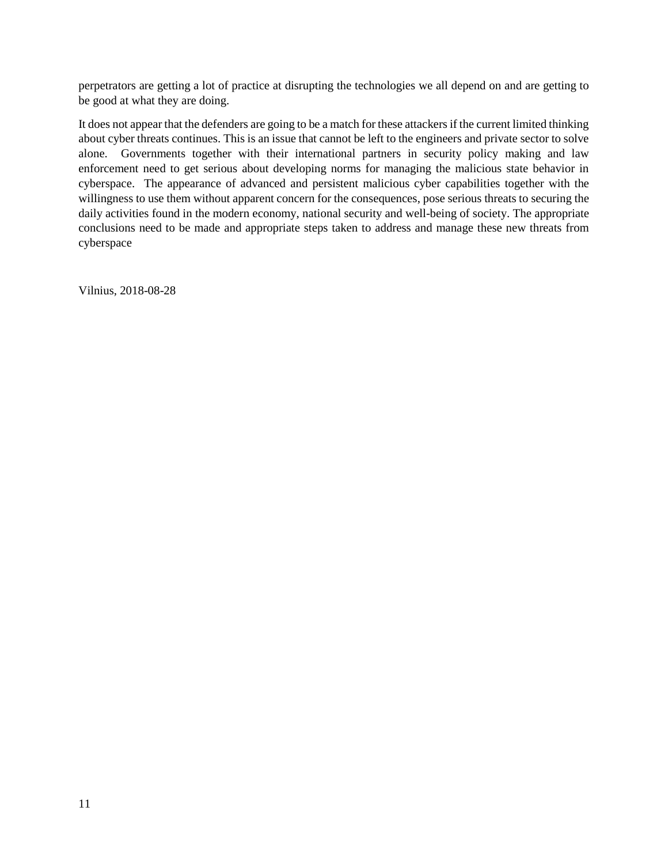perpetrators are getting a lot of practice at disrupting the technologies we all depend on and are getting to be good at what they are doing.

It does not appear that the defenders are going to be a match for these attackers if the current limited thinking about cyber threats continues. This is an issue that cannot be left to the engineers and private sector to solve alone. Governments together with their international partners in security policy making and law enforcement need to get serious about developing norms for managing the malicious state behavior in cyberspace. The appearance of advanced and persistent malicious cyber capabilities together with the willingness to use them without apparent concern for the consequences, pose serious threats to securing the daily activities found in the modern economy, national security and well-being of society. The appropriate conclusions need to be made and appropriate steps taken to address and manage these new threats from cyberspace

Vilnius, 2018-08-28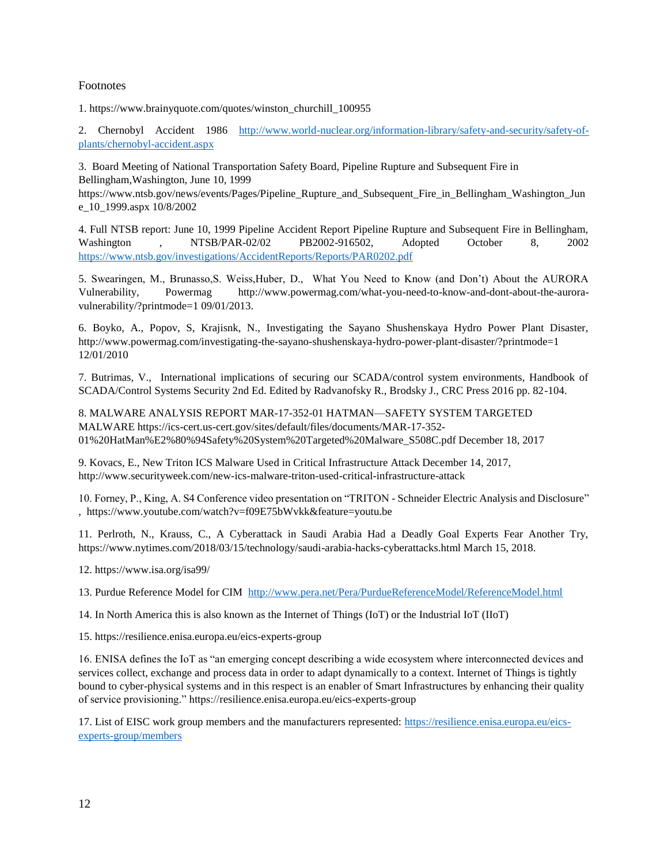#### Footnotes

1. https://www.brainyquote.com/quotes/winston\_churchill\_100955

2. Chernobyl Accident 1986 [http://www.world-nuclear.org/information-library/safety-and-security/safety-of](http://www.world-nuclear.org/information-library/safety-and-security/safety-of-plants/chernobyl-accident.aspx)[plants/chernobyl-accident.aspx](http://www.world-nuclear.org/information-library/safety-and-security/safety-of-plants/chernobyl-accident.aspx)

3. Board Meeting of National Transportation Safety Board, Pipeline Rupture and Subsequent Fire in Bellingham,Washington, June 10, 1999

https://www.ntsb.gov/news/events/Pages/Pipeline\_Rupture\_and\_Subsequent\_Fire\_in\_Bellingham\_Washington\_Jun e\_10\_1999.aspx 10/8/2002

4. Full NTSB report: June 10, 1999 Pipeline Accident Report Pipeline Rupture and Subsequent Fire in Bellingham, Washington , NTSB/PAR-02/02 PB2002-916502, Adopted October 8, 2002 <https://www.ntsb.gov/investigations/AccidentReports/Reports/PAR0202.pdf>

5. Swearingen, M., Brunasso,S. Weiss,Huber, D., What You Need to Know (and Don't) About the AURORA Vulnerability, Powermag http://www.powermag.com/what-you-need-to-know-and-dont-about-the-auroravulnerability/?printmode=1 09/01/2013.

6. Boyko, A., Popov, S, Krajisnk, N., Investigating the Sayano Shushenskaya Hydro Power Plant Disaster, http://www.powermag.com/investigating-the-sayano-shushenskaya-hydro-power-plant-disaster/?printmode=1 12/01/2010

7. Butrimas, V., International implications of securing our SCADA/control system environments, Handbook of SCADA/Control Systems Security 2nd Ed. Edited by Radvanofsky R., Brodsky J., CRC Press 2016 pp. 82-104.

8. MALWARE ANALYSIS REPORT MAR-17-352-01 HATMAN—SAFETY SYSTEM TARGETED MALWARE https://ics-cert.us-cert.gov/sites/default/files/documents/MAR-17-352- 01%20HatMan%E2%80%94Safety%20System%20Targeted%20Malware\_S508C.pdf December 18, 2017

9. Kovacs, E., New Triton ICS Malware Used in Critical Infrastructure Attack December 14, 2017, http://www.securityweek.com/new-ics-malware-triton-used-critical-infrastructure-attack

10. Forney, P., King, A. S4 Conference video presentation on "TRITON - Schneider Electric Analysis and Disclosure" , https://www.youtube.com/watch?v=f09E75bWvkk&feature=youtu.be

11. Perlroth, N., Krauss, C., A Cyberattack in Saudi Arabia Had a Deadly Goal Experts Fear Another Try, https://www.nytimes.com/2018/03/15/technology/saudi-arabia-hacks-cyberattacks.html March 15, 2018.

12. https://www.isa.org/isa99/

13. Purdue Reference Model for CIM <http://www.pera.net/Pera/PurdueReferenceModel/ReferenceModel.html>

14. In North America this is also known as the Internet of Things (IoT) or the Industrial IoT (IIoT)

15. https://resilience.enisa.europa.eu/eics-experts-group

16. ENISA defines the IoT as "an emerging concept describing a wide ecosystem where interconnected devices and services collect, exchange and process data in order to adapt dynamically to a context. Internet of Things is tightly bound to cyber-physical systems and in this respect is an enabler of Smart Infrastructures by enhancing their quality of service provisioning." https://resilience.enisa.europa.eu/eics-experts-group

17. List of EISC work group members and the manufacturers represented: [https://resilience.enisa.europa.eu/eics](https://resilience.enisa.europa.eu/eics-experts-group/members)[experts-group/members](https://resilience.enisa.europa.eu/eics-experts-group/members)